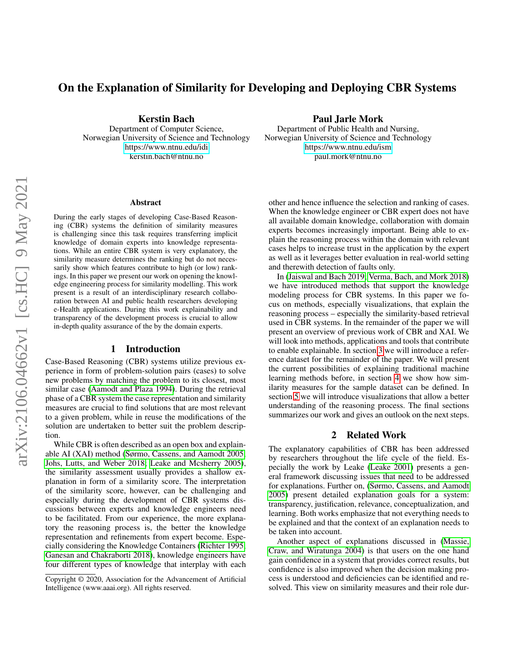# On the Explanation of Similarity for Developing and Deploying CBR Systems

Kerstin Bach

Department of Computer Science, Norwegian University of Science and Technology <https://www.ntnu.edu/idi> kerstin.bach@ntnu.no

#### Abstract

During the early stages of developing Case-Based Reasoning (CBR) systems the definition of similarity measures is challenging since this task requires transferring implicit knowledge of domain experts into knowledge representations. While an entire CBR system is very explanatory, the similarity measure determines the ranking but do not necessarily show which features contribute to high (or low) rankings. In this paper we present our work on opening the knowledge engineering process for similarity modelling. This work present is a result of an interdisciplinary research collaboration between AI and public health researchers developing e-Health applications. During this work explainability and transparency of the development process is crucial to allow in-depth quality assurance of the by the domain experts.

#### 1 Introduction

Case-Based Reasoning (CBR) systems utilize previous experience in form of problem-solution pairs (cases) to solve new problems by matching the problem to its closest, most similar case [\(Aamodt and Plaza 1994\)](#page-3-0). During the retrieval phase of a CBR system the case representation and similarity measures are crucial to find solutions that are most relevant to a given problem, while in reuse the modifications of the solution are undertaken to better suit the problem description.

While CBR is often described as an open box and explainable AI (XAI) method [\(Sørmo, Cassens, and Aamodt 2005;](#page-4-0) [Johs, Lutts, and Weber 2018;](#page-3-1) [Leake and Mcsherry 2005\)](#page-3-2), the similarity assessment usually provides a shallow explanation in form of a similarity score. The interpretation of the similarity score, however, can be challenging and especially during the development of CBR systems discussions between experts and knowledge engineers need to be facilitated. From our experience, the more explanatory the reasoning process is, the better the knowledge representation and refinements from expert become. Especially considering the Knowledge Containers [\(Richter 1995;](#page-3-3) [Ganesan and Chakraborti 2018\)](#page-3-4), knowledge engineers have four different types of knowledge that interplay with each

#### Paul Jarle Mork

Department of Public Health and Nursing, Norwegian University of Science and Technology <https://www.ntnu.edu/ism> paul.mork@ntnu.no

other and hence influence the selection and ranking of cases. When the knowledge engineer or CBR expert does not have all available domain knowledge, collaboration with domain experts becomes increasingly important. Being able to explain the reasoning process within the domain with relevant cases helps to increase trust in the application by the expert as well as it leverages better evaluation in real-world setting and therewith detection of faults only.

In [\(Jaiswal and Bach 2019;](#page-3-5) [Verma, Bach, and Mork 2018\)](#page-4-1) we have introduced methods that support the knowledge modeling process for CBR systems. In this paper we focus on methods, especially visualizations, that explain the reasoning process – especially the similarity-based retrieval used in CBR systems. In the remainder of the paper we will present an overview of previous work of CBR and XAI. We will look into methods, applications and tools that contribute to enable explainable. In section [3](#page-1-0) we will introduce a reference dataset for the remainder of the paper. We will present the current possibilities of explaining traditional machine learning methods before, in section [4](#page-1-1) we show how similarity measures for the sample dataset can be defined. In section [5](#page-2-0) we will introduce visualizations that allow a better understanding of the reasoning process. The final sections summarizes our work and gives an outlook on the next steps.

#### 2 Related Work

The explanatory capabilities of CBR has been addressed by researchers throughout the life cycle of the field. Especially the work by Leake [\(Leake 2001\)](#page-3-6) presents a general framework discussing issues that need to be addressed for explanations. Further on, [\(Sørmo, Cassens, and Aamodt](#page-4-0) [2005\)](#page-4-0) present detailed explanation goals for a system: transparency, justification, relevance, conceptualization, and learning. Both works emphasize that not everything needs to be explained and that the context of an explanation needs to be taken into account.

Another aspect of explanations discussed in [\(Massie,](#page-3-7) [Craw, and Wiratunga 2004\)](#page-3-7) is that users on the one hand gain confidence in a system that provides correct results, but confidence is also improved when the decision making process is understood and deficiencies can be identified and resolved. This view on similarity measures and their role dur-

Copyright © 2020, Association for the Advancement of Artificial Intelligence (www.aaai.org). All rights reserved.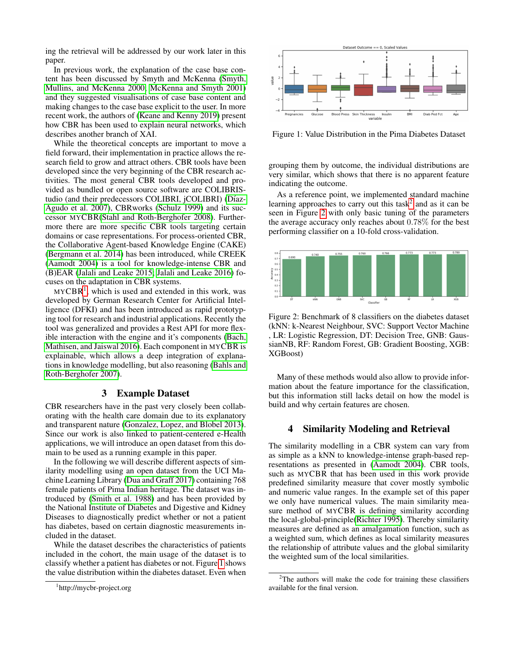ing the retrieval will be addressed by our work later in this paper.

In previous work, the explanation of the case base content has been discussed by Smyth and McKenna [\(Smyth,](#page-3-8) [Mullins, and McKenna 2000;](#page-3-8) [McKenna and Smyth 2001\)](#page-3-9) and they suggested visualisations of case base content and making changes to the case base explicit to the user. In more recent work, the authors of [\(Keane and Kenny 2019\)](#page-3-10) present how CBR has been used to explain neural networks, which describes another branch of XAI.

While the theoretical concepts are important to move a field forward, their implementation in practice allows the research field to grow and attract others. CBR tools have been developed since the very beginning of the CBR research activities. The most general CBR tools developed and provided as bundled or open source software are COLIBRIStudio (and their predecessors COLIBRI, jCOLIBRI) (Díaz-[Agudo et al. 2007\)](#page-3-11), CBRworks [\(Schulz 1999\)](#page-3-12) and its successor MYCBR[\(Stahl and Roth-Berghofer 2008\)](#page-3-13). Furthermore there are more specific CBR tools targeting certain domains or case representations. For process-oriented CBR, the Collaborative Agent-based Knowledge Engine (CAKE) [\(Bergmann et al. 2014\)](#page-3-14) has been introduced, while CREEK [\(Aamodt 2004\)](#page-3-15) is a tool for knowledge-intense CBR and (B)EAR [\(Jalali and Leake 2015;](#page-3-16) [Jalali and Leake 2016\)](#page-3-17) focuses on the adaptation in CBR systems.

 $MYCBR<sup>1</sup>$  $MYCBR<sup>1</sup>$  $MYCBR<sup>1</sup>$ , which is used and extended in this work, was developed by German Research Center for Artificial Intelligence (DFKI) and has been introduced as rapid prototyping tool for research and industrial applications. Recently the tool was generalized and provides a Rest API for more flexible interaction with the engine and it's components [\(Bach,](#page-3-18) [Mathisen, and Jaiswal 2016\)](#page-3-18). Each component in MYCBR is explainable, which allows a deep integration of explanations in knowledge modelling, but also reasoning [\(Bahls and](#page-3-19) [Roth-Berghofer 2007\)](#page-3-19).

### 3 Example Dataset

<span id="page-1-0"></span>CBR researchers have in the past very closely been collaborating with the health care domain due to its explanatory and transparent nature [\(Gonzalez, Lopez, and Blobel 2013\)](#page-3-20). Since our work is also linked to patient-centered e-Health applications, we will introduce an open dataset from this domain to be used as a running example in this paper.

In the following we will describe different aspects of similarity modelling using an open dataset from the UCI Machine Learning Library [\(Dua and Graff 2017\)](#page-3-21) containing 768 female patients of Pima Indian heritage. The dataset was introduced by [\(Smith et al. 1988\)](#page-3-22) and has been provided by the National Institute of Diabetes and Digestive and Kidney Diseases to diagnostically predict whether or not a patient has diabetes, based on certain diagnostic measurements included in the dataset.

While the dataset describes the characteristics of patients included in the cohort, the main usage of the dataset is to classify whether a patient has diabetes or not. Figure [1](#page-1-3) shows the value distribution within the diabetes dataset. Even when

<span id="page-1-3"></span>

Figure 1: Value Distribution in the Pima Diabetes Dataset

grouping them by outcome, the individual distributions are very similar, which shows that there is no apparent feature indicating the outcome.

As a reference point, we implemented standard machine learning approaches to carry out this task<sup>[2](#page-1-4)</sup> and as it can be seen in Figure [2](#page-1-5) with only basic tuning of the parameters the average accuracy only reaches about 0.78% for the best performing classifier on a 10-fold cross-validation.

<span id="page-1-5"></span>

Figure 2: Benchmark of 8 classifiers on the diabetes dataset (kNN: k-Nearest Neighbour, SVC: Support Vector Machine , LR: Logistic Regression, DT: Decision Tree, GNB: GaussianNB, RF: Random Forest, GB: Gradient Boosting, XGB: XGBoost)

Many of these methods would also allow to provide information about the feature importance for the classification, but this information still lacks detail on how the model is build and why certain features are chosen.

#### <span id="page-1-1"></span>4 Similarity Modeling and Retrieval

The similarity modelling in a CBR system can vary from as simple as a kNN to knowledge-intense graph-based representations as presented in [\(Aamodt 2004\)](#page-3-15). CBR tools, such as MYCBR that has been used in this work provide predefined similarity measure that cover mostly symbolic and numeric value ranges. In the example set of this paper we only have numerical values. The main similarity measure method of MYCBR is defining similarity according the local-global-principle[\(Richter 1995\)](#page-3-3). Thereby similarity measures are defined as an amalgamation function, such as a weighted sum, which defines as local similarity measures the relationship of attribute values and the global similarity the weighted sum of the local similarities.

<span id="page-1-2"></span><sup>1</sup> http://mycbr-project.org

<span id="page-1-4"></span> $2$ The authors will make the code for training these classifiers available for the final version.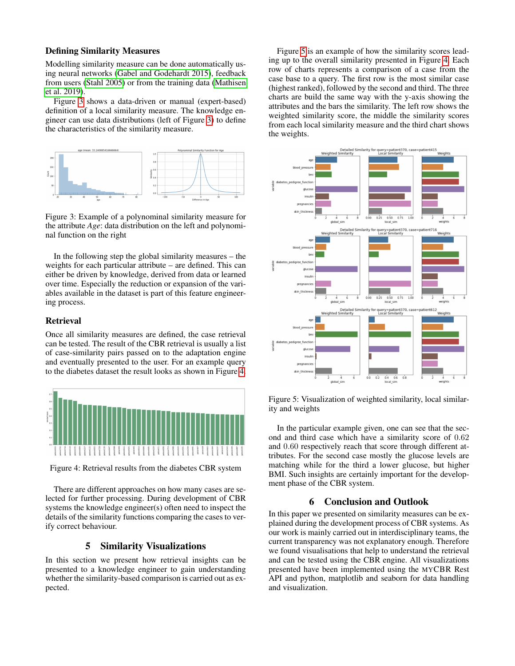#### Defining Similarity Measures

Modelling similarity measure can be done automatically using neural networks [\(Gabel and Godehardt 2015\)](#page-3-23), feedback from users [\(Stahl 2005\)](#page-4-2) or from the training data [\(Mathisen](#page-3-24) [et al. 2019\)](#page-3-24).

Figure [3](#page-2-1) shows a data-driven or manual (expert-based) definition of a local similarity measure. The knowledge engineer can use data distributions (left of Figure [3\)](#page-2-1) to define the characteristics of the similarity measure.

<span id="page-2-1"></span>

Figure 3: Example of a polynominal similarity measure for the attribute *Age*: data distribution on the left and polynominal function on the right

In the following step the global similarity measures – the weights for each particular attribute – are defined. This can either be driven by knowledge, derived from data or learned over time. Especially the reduction or expansion of the variables available in the dataset is part of this feature engineering process.

#### Retrieval

Once all similarity measures are defined, the case retrieval can be tested. The result of the CBR retrieval is usually a list of case-similarity pairs passed on to the adaptation engine and eventually presented to the user. For an example query to the diabetes dataset the result looks as shown in Figure [4.](#page-2-2)

<span id="page-2-2"></span>

Figure 4: Retrieval results from the diabetes CBR system

There are different approaches on how many cases are selected for further processing. During development of CBR systems the knowledge engineer(s) often need to inspect the details of the similarity functions comparing the cases to verify correct behaviour.

## 5 Similarity Visualizations

<span id="page-2-0"></span>In this section we present how retrieval insights can be presented to a knowledge engineer to gain understanding whether the similarity-based comparison is carried out as expected.

Figure [5](#page-2-3) is an example of how the similarity scores leading up to the overall similarity presented in Figure [4.](#page-2-2) Each row of charts represents a comparison of a case from the case base to a query. The first row is the most similar case (highest ranked), followed by the second and third. The three charts are build the same way with the y-axis showing the attributes and the bars the similarity. The left row shows the weighted similarity score, the middle the similarity scores from each local similarity measure and the third chart shows the weights.

<span id="page-2-3"></span>

Figure 5: Visualization of weighted similarity, local similarity and weights

In the particular example given, one can see that the second and third case which have a similarity score of 0.62 and 0.60 respectively reach that score through different attributes. For the second case mostly the glucose levels are matching while for the third a lower glucose, but higher BMI. Such insights are certainly important for the development phase of the CBR system.

#### 6 Conclusion and Outlook

In this paper we presented on similarity measures can be explained during the development process of CBR systems. As our work is mainly carried out in interdisciplinary teams, the current transparency was not explanatory enough. Therefore we found visualisations that help to understand the retrieval and can be tested using the CBR engine. All visualizations presented have been implemented using the MYCBR Rest API and python, matplotlib and seaborn for data handling and visualization.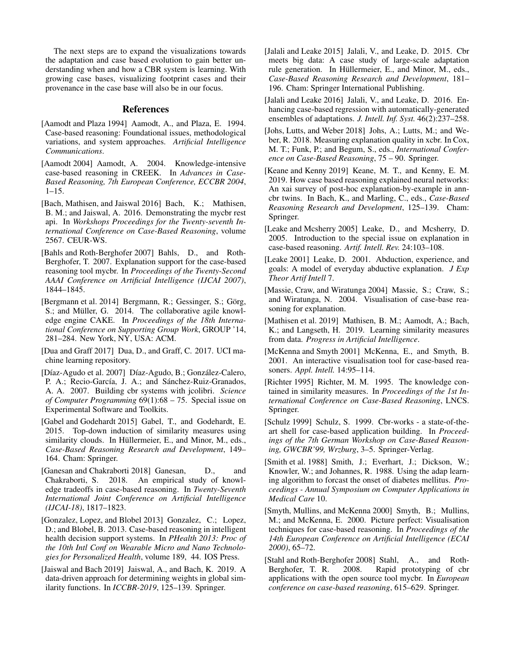The next steps are to expand the visualizations towards the adaptation and case based evolution to gain better understanding when and how a CBR system is learning. With growing case bases, visualizing footprint cases and their provenance in the case base will also be in our focus.

#### References

- <span id="page-3-0"></span>[Aamodt and Plaza 1994] Aamodt, A., and Plaza, E. 1994. Case-based reasoning: Foundational issues, methodological variations, and system approaches. *Artificial Intelligence Communications*.
- <span id="page-3-15"></span>[Aamodt 2004] Aamodt, A. 2004. Knowledge-intensive case-based reasoning in CREEK. In *Advances in Case-Based Reasoning, 7th European Conference, ECCBR 2004*,  $1 - 15$ .
- <span id="page-3-18"></span>[Bach, Mathisen, and Jaiswal 2016] Bach, K.; Mathisen, B. M.; and Jaiswal, A. 2016. Demonstrating the mycbr rest api. In *Workshops Proceedings for the Twenty-seventh International Conference on Case-Based Reasoning*, volume 2567. CEUR-WS.
- <span id="page-3-19"></span>[Bahls and Roth-Berghofer 2007] Bahls, D., and Roth-Berghofer, T. 2007. Explanation support for the case-based reasoning tool mycbr. In *Proceedings of the Twenty-Second AAAI Conference on Artificial Intelligence (IJCAI 2007)*, 1844–1845.
- <span id="page-3-14"></span>[Bergmann et al. 2014] Bergmann, R.: Gessinger, S.: Görg, S.; and Müller, G. 2014. The collaborative agile knowledge engine CAKE. In *Proceedings of the 18th International Conference on Supporting Group Work*, GROUP '14, 281–284. New York, NY, USA: ACM.
- <span id="page-3-21"></span>[Dua and Graff 2017] Dua, D., and Graff, C. 2017. UCI machine learning repository.
- <span id="page-3-11"></span>[Díaz-Agudo et al. 2007] Díaz-Agudo, B.; González-Calero, P. A.; Recio-García, J. A.; and Sánchez-Ruiz-Granados, A. A. 2007. Building cbr systems with jcolibri. *Science of Computer Programming* 69(1):68 – 75. Special issue on Experimental Software and Toolkits.
- <span id="page-3-23"></span>[Gabel and Godehardt 2015] Gabel, T., and Godehardt, E. 2015. Top-down induction of similarity measures using similarity clouds. In Hüllermeier, E., and Minor, M., eds., *Case-Based Reasoning Research and Development*, 149– 164. Cham: Springer.
- <span id="page-3-4"></span>[Ganesan and Chakraborti 2018] Ganesan, D., and Chakraborti, S. 2018. An empirical study of knowledge tradeoffs in case-based reasoning. In *Twenty-Seventh International Joint Conference on Artificial Intelligence (IJCAI-18)*, 1817–1823.
- <span id="page-3-20"></span>[Gonzalez, Lopez, and Blobel 2013] Gonzalez, C.; Lopez, D.; and Blobel, B. 2013. Case-based reasoning in intelligent health decision support systems. In *PHealth 2013: Proc of the 10th Intl Conf on Wearable Micro and Nano Technologies for Personalized Health*, volume 189, 44. IOS Press.
- <span id="page-3-5"></span>[Jaiswal and Bach 2019] Jaiswal, A., and Bach, K. 2019. A data-driven approach for determining weights in global similarity functions. In *ICCBR-2019*, 125–139. Springer.
- <span id="page-3-16"></span>[Jalali and Leake 2015] Jalali, V., and Leake, D. 2015. Cbr meets big data: A case study of large-scale adaptation rule generation. In Hüllermeier, E., and Minor, M., eds., *Case-Based Reasoning Research and Development*, 181– 196. Cham: Springer International Publishing.
- <span id="page-3-17"></span>[Jalali and Leake 2016] Jalali, V., and Leake, D. 2016. Enhancing case-based regression with automatically-generated ensembles of adaptations. *J. Intell. Inf. Syst.* 46(2):237–258.
- <span id="page-3-1"></span>[Johs, Lutts, and Weber 2018] Johs, A.; Lutts, M.; and Weber, R. 2018. Measuring explanation quality in xcbr. In Cox, M. T.; Funk, P.; and Begum, S., eds., *International Conference on Case-Based Reasoning*, 75 – 90. Springer.
- <span id="page-3-10"></span>[Keane and Kenny 2019] Keane, M. T., and Kenny, E. M. 2019. How case based reasoning explained neural networks: An xai survey of post-hoc explanation-by-example in anncbr twins. In Bach, K., and Marling, C., eds., *Case-Based Reasoning Research and Development*, 125–139. Cham: Springer.
- <span id="page-3-2"></span>[Leake and Mcsherry 2005] Leake, D., and Mcsherry, D. 2005. Introduction to the special issue on explanation in case-based reasoning. *Artif. Intell. Rev.* 24:103–108.
- <span id="page-3-6"></span>[Leake 2001] Leake, D. 2001. Abduction, experience, and goals: A model of everyday abductive explanation. *J Exp Theor Artif Intell* 7.
- <span id="page-3-7"></span>[Massie, Craw, and Wiratunga 2004] Massie, S.; Craw, S.; and Wiratunga, N. 2004. Visualisation of case-base reasoning for explanation.
- <span id="page-3-24"></span>[Mathisen et al. 2019] Mathisen, B. M.; Aamodt, A.; Bach, K.; and Langseth, H. 2019. Learning similarity measures from data. *Progress in Artificial Intelligence*.
- <span id="page-3-9"></span>[McKenna and Smyth 2001] McKenna, E., and Smyth, B. 2001. An interactive visualisation tool for case-based reasoners. *Appl. Intell.* 14:95–114.
- <span id="page-3-3"></span>[Richter 1995] Richter, M. M. 1995. The knowledge contained in similarity measures. In *Proceedings of the 1st International Conference on Case-Based Reasoning*, LNCS. Springer.
- <span id="page-3-12"></span>[Schulz 1999] Schulz, S. 1999. Cbr-works - a state-of-theart shell for case-based application building. In *Proceedings of the 7th German Workshop on Case-Based Reasoning, GWCBR'99, Wrzburg*, 3–5. Springer-Verlag.
- <span id="page-3-22"></span>[Smith et al. 1988] Smith, J.; Everhart, J.; Dickson, W.; Knowler, W.; and Johannes, R. 1988. Using the adap learning algorithm to forcast the onset of diabetes mellitus. *Proceedings - Annual Symposium on Computer Applications in Medical Care* 10.
- <span id="page-3-8"></span>[Smyth, Mullins, and McKenna 2000] Smyth, B.; Mullins, M.; and McKenna, E. 2000. Picture perfect: Visualisation techniques for case-based reasoning. In *Proceedings of the 14th European Conference on Artificial Intelligence (ECAI 2000)*, 65–72.
- <span id="page-3-13"></span>[Stahl and Roth-Berghofer 2008] Stahl, A., and Roth-Berghofer, T. R. 2008. Rapid prototyping of cbr applications with the open source tool mycbr. In *European conference on case-based reasoning*, 615–629. Springer.